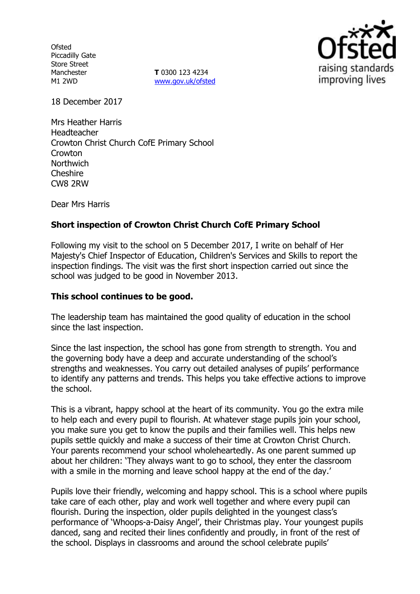**Ofsted** Piccadilly Gate Store Street Manchester M1 2WD

**T** 0300 123 4234 [www.gov.uk/ofsted](http://www.gov.uk/ofsted)



18 December 2017

Mrs Heather Harris Headteacher Crowton Christ Church CofE Primary School **Crowton Northwich Cheshire** CW8 2RW

Dear Mrs Harris

# **Short inspection of Crowton Christ Church CofE Primary School**

Following my visit to the school on 5 December 2017, I write on behalf of Her Majesty's Chief Inspector of Education, Children's Services and Skills to report the inspection findings. The visit was the first short inspection carried out since the school was judged to be good in November 2013.

#### **This school continues to be good.**

The leadership team has maintained the good quality of education in the school since the last inspection.

Since the last inspection, the school has gone from strength to strength. You and the governing body have a deep and accurate understanding of the school's strengths and weaknesses. You carry out detailed analyses of pupils' performance to identify any patterns and trends. This helps you take effective actions to improve the school.

This is a vibrant, happy school at the heart of its community. You go the extra mile to help each and every pupil to flourish. At whatever stage pupils join your school, you make sure you get to know the pupils and their families well. This helps new pupils settle quickly and make a success of their time at Crowton Christ Church. Your parents recommend your school wholeheartedly. As one parent summed up about her children: 'They always want to go to school, they enter the classroom with a smile in the morning and leave school happy at the end of the day.'

Pupils love their friendly, welcoming and happy school. This is a school where pupils take care of each other, play and work well together and where every pupil can flourish. During the inspection, older pupils delighted in the youngest class's performance of 'Whoops-a-Daisy Angel', their Christmas play. Your youngest pupils danced, sang and recited their lines confidently and proudly, in front of the rest of the school. Displays in classrooms and around the school celebrate pupils'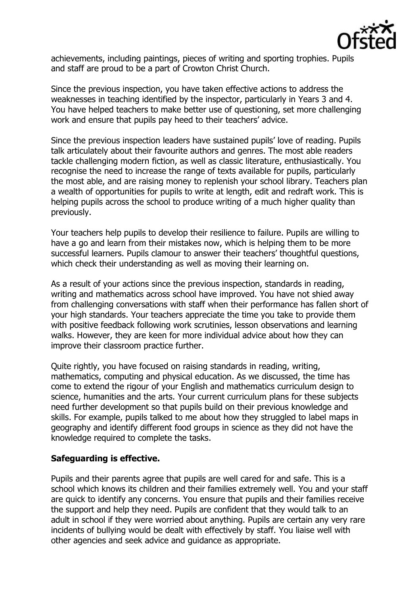

achievements, including paintings, pieces of writing and sporting trophies. Pupils and staff are proud to be a part of Crowton Christ Church.

Since the previous inspection, you have taken effective actions to address the weaknesses in teaching identified by the inspector, particularly in Years 3 and 4. You have helped teachers to make better use of questioning, set more challenging work and ensure that pupils pay heed to their teachers' advice.

Since the previous inspection leaders have sustained pupils' love of reading. Pupils talk articulately about their favourite authors and genres. The most able readers tackle challenging modern fiction, as well as classic literature, enthusiastically. You recognise the need to increase the range of texts available for pupils, particularly the most able, and are raising money to replenish your school library. Teachers plan a wealth of opportunities for pupils to write at length, edit and redraft work. This is helping pupils across the school to produce writing of a much higher quality than previously.

Your teachers help pupils to develop their resilience to failure. Pupils are willing to have a go and learn from their mistakes now, which is helping them to be more successful learners. Pupils clamour to answer their teachers' thoughtful questions, which check their understanding as well as moving their learning on.

As a result of your actions since the previous inspection, standards in reading, writing and mathematics across school have improved. You have not shied away from challenging conversations with staff when their performance has fallen short of your high standards. Your teachers appreciate the time you take to provide them with positive feedback following work scrutinies, lesson observations and learning walks. However, they are keen for more individual advice about how they can improve their classroom practice further.

Quite rightly, you have focused on raising standards in reading, writing, mathematics, computing and physical education. As we discussed, the time has come to extend the rigour of your English and mathematics curriculum design to science, humanities and the arts. Your current curriculum plans for these subjects need further development so that pupils build on their previous knowledge and skills. For example, pupils talked to me about how they struggled to label maps in geography and identify different food groups in science as they did not have the knowledge required to complete the tasks.

### **Safeguarding is effective.**

Pupils and their parents agree that pupils are well cared for and safe. This is a school which knows its children and their families extremely well. You and your staff are quick to identify any concerns. You ensure that pupils and their families receive the support and help they need. Pupils are confident that they would talk to an adult in school if they were worried about anything. Pupils are certain any very rare incidents of bullying would be dealt with effectively by staff. You liaise well with other agencies and seek advice and guidance as appropriate.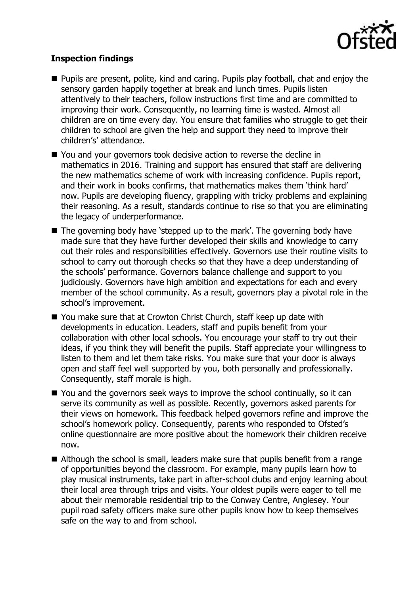

## **Inspection findings**

- **Pupils are present, polite, kind and caring. Pupils play football, chat and enjoy the** sensory garden happily together at break and lunch times. Pupils listen attentively to their teachers, follow instructions first time and are committed to improving their work. Consequently, no learning time is wasted. Almost all children are on time every day. You ensure that families who struggle to get their children to school are given the help and support they need to improve their children's' attendance.
- You and your governors took decisive action to reverse the decline in mathematics in 2016. Training and support has ensured that staff are delivering the new mathematics scheme of work with increasing confidence. Pupils report, and their work in books confirms, that mathematics makes them 'think hard' now. Pupils are developing fluency, grappling with tricky problems and explaining their reasoning. As a result, standards continue to rise so that you are eliminating the legacy of underperformance.
- The governing body have 'stepped up to the mark'. The governing body have made sure that they have further developed their skills and knowledge to carry out their roles and responsibilities effectively. Governors use their routine visits to school to carry out thorough checks so that they have a deep understanding of the schools' performance. Governors balance challenge and support to you judiciously. Governors have high ambition and expectations for each and every member of the school community. As a result, governors play a pivotal role in the school's improvement.
- You make sure that at Crowton Christ Church, staff keep up date with developments in education. Leaders, staff and pupils benefit from your collaboration with other local schools. You encourage your staff to try out their ideas, if you think they will benefit the pupils. Staff appreciate your willingness to listen to them and let them take risks. You make sure that your door is always open and staff feel well supported by you, both personally and professionally. Consequently, staff morale is high.
- You and the governors seek ways to improve the school continually, so it can serve its community as well as possible. Recently, governors asked parents for their views on homework. This feedback helped governors refine and improve the school's homework policy. Consequently, parents who responded to Ofsted's online questionnaire are more positive about the homework their children receive now.
- Although the school is small, leaders make sure that pupils benefit from a range of opportunities beyond the classroom. For example, many pupils learn how to play musical instruments, take part in after-school clubs and enjoy learning about their local area through trips and visits. Your oldest pupils were eager to tell me about their memorable residential trip to the Conway Centre, Anglesey. Your pupil road safety officers make sure other pupils know how to keep themselves safe on the way to and from school.